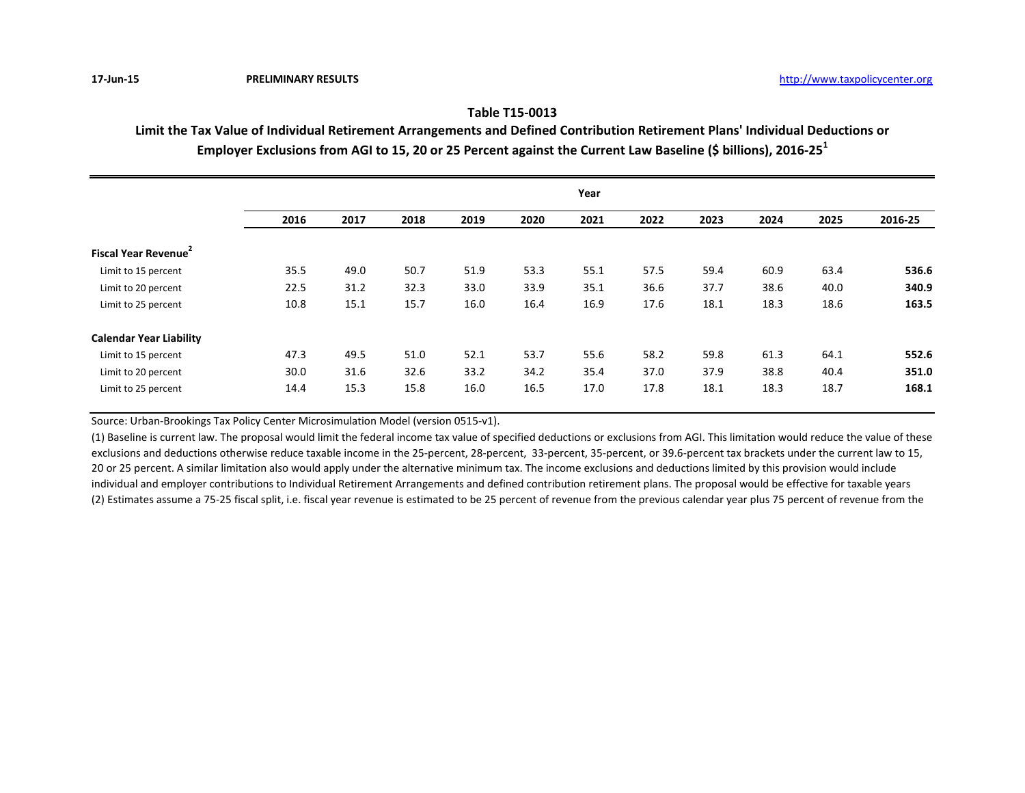## **Table T15-0013**

**Limit the Tax Value of Individual Retirement Arrangements and Defined Contribution Retirement Plans' Individual Deductions or Employer Exclusions from AGI to 15, 20 or 25 Percent against the Current Law Baseline (\$ billions), 2016-25<sup>1</sup>**

|                                  | Year |      |      |      |      |      |      |      |      |      |         |
|----------------------------------|------|------|------|------|------|------|------|------|------|------|---------|
|                                  | 2016 | 2017 | 2018 | 2019 | 2020 | 2021 | 2022 | 2023 | 2024 | 2025 | 2016-25 |
| Fiscal Year Revenue <sup>2</sup> |      |      |      |      |      |      |      |      |      |      |         |
| Limit to 15 percent              | 35.5 | 49.0 | 50.7 | 51.9 | 53.3 | 55.1 | 57.5 | 59.4 | 60.9 | 63.4 | 536.6   |
| Limit to 20 percent              | 22.5 | 31.2 | 32.3 | 33.0 | 33.9 | 35.1 | 36.6 | 37.7 | 38.6 | 40.0 | 340.9   |
| Limit to 25 percent              | 10.8 | 15.1 | 15.7 | 16.0 | 16.4 | 16.9 | 17.6 | 18.1 | 18.3 | 18.6 | 163.5   |
| <b>Calendar Year Liability</b>   |      |      |      |      |      |      |      |      |      |      |         |
| Limit to 15 percent              | 47.3 | 49.5 | 51.0 | 52.1 | 53.7 | 55.6 | 58.2 | 59.8 | 61.3 | 64.1 | 552.6   |
| Limit to 20 percent              | 30.0 | 31.6 | 32.6 | 33.2 | 34.2 | 35.4 | 37.0 | 37.9 | 38.8 | 40.4 | 351.0   |
| Limit to 25 percent              | 14.4 | 15.3 | 15.8 | 16.0 | 16.5 | 17.0 | 17.8 | 18.1 | 18.3 | 18.7 | 168.1   |

Source: Urban-Brookings Tax Policy Center Microsimulation Model (version 0515-v1).

(1) Baseline is current law. The proposal would limit the federal income tax value of specified deductions or exclusions from AGI. This limitation would reduce the value of these exclusions and deductions otherwise reduce taxable income in the 25-percent, 28-percent, 33-percent, 35-percent, or 39.6-percent tax brackets under the current law to 15, 20 or 25 percent. A similar limitation also would apply under the alternative minimum tax. The income exclusions and deductions limited by this provision would include individual and employer contributions to Individual Retirement Arrangements and defined contribution retirement plans. The proposal would be effective for taxable years (2) Estimates assume a 75-25 fiscal split, i.e. fiscal year revenue is estimated to be 25 percent of revenue from the previous calendar year plus 75 percent of revenue from the